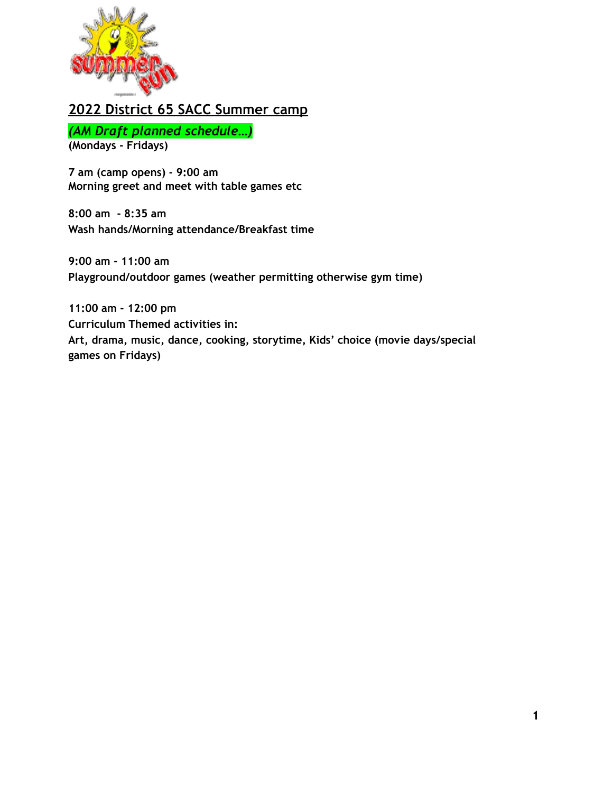

## **2022 District 65 SACC Summer camp**

*(AM Draft planned schedule…)*

**(Mondays - Fridays)**

**7 am (camp opens) - 9:00 am Morning greet and meet with table games etc**

**8:00 am - 8:35 am Wash hands/Morning attendance/Breakfast time**

**9:00 am - 11:00 am Playground/outdoor games (weather permitting otherwise gym time)**

**11:00 am - 12:00 pm Curriculum Themed activities in: Art, drama, music, dance, cooking, storytime, Kids' choice (movie days/special games on Fridays)**